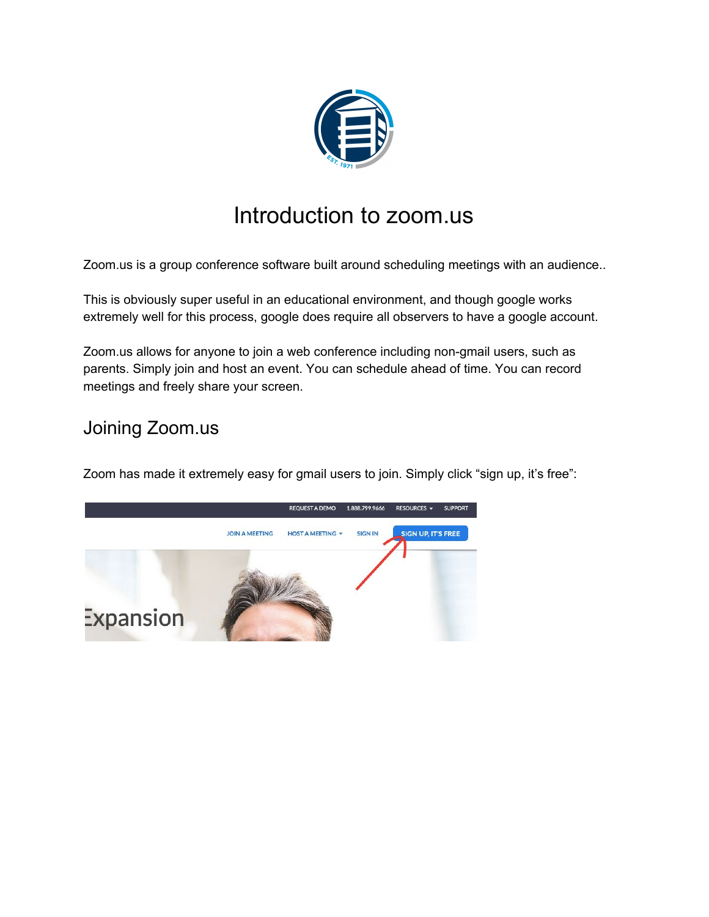

# Introduction to zoom.us

Zoom.us is a group conference software built around scheduling meetings with an audience..

This is obviously super useful in an educational environment, and though google works extremely well for this process, google does require all observers to have a google account.

Zoom.us allows for anyone to join a web conference including non-gmail users, such as parents. Simply join and host an event. You can schedule ahead of time. You can record meetings and freely share your screen.

## Joining Zoom.us

Zoom has made it extremely easy for gmail users to join. Simply click "sign up, it's free":

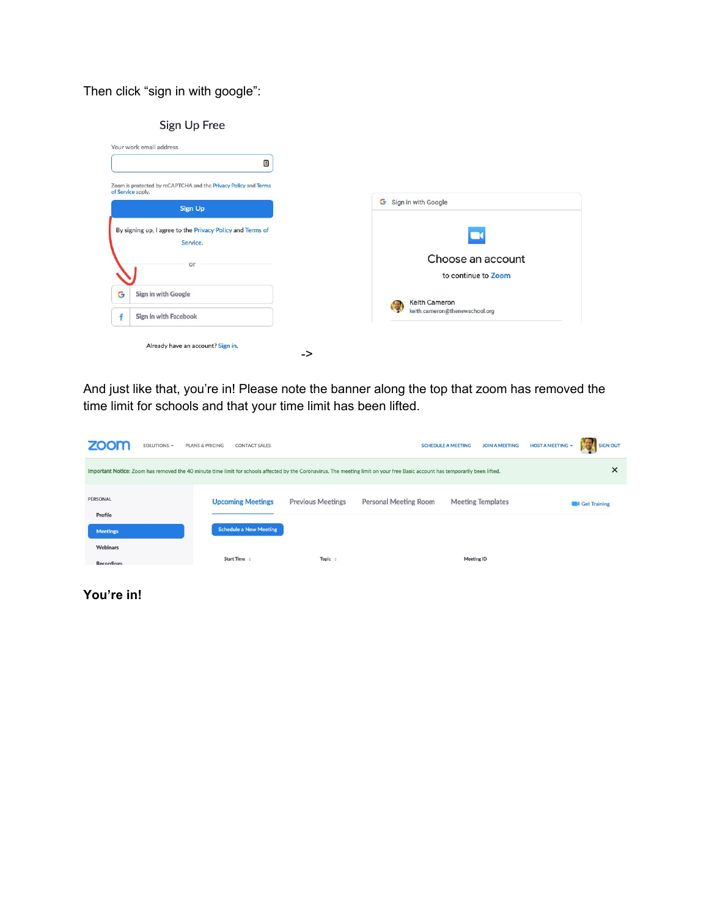#### Then click "sign in with google":

| ≞                                                                                    |                                |
|--------------------------------------------------------------------------------------|--------------------------------|
| Zoom is protected by reCAPTCHA and the Privacy Policy and Terms<br>of Service apply. |                                |
| <b>Sign Up</b>                                                                       | G Sign in with Google          |
| By signing up, I agree to the Privacy Policy and Terms of<br>Service.                | $\blacksquare$                 |
| or                                                                                   | Choose an account              |
| G<br>Sign in with Google                                                             | to continue to Zoom            |
|                                                                                      | Keith Cameron                  |
| Sign in with Facebook                                                                | keith.cameron@thenewschool.org |

And just like that, you're in! Please note the banner along the top that zoom has removed the time limit for schools and that your time limit has been lifted.

| zoom<br>SOLUTIONS +                                                                                                                                                                 | PLANS & PRICING<br><b>CONTACT SALES</b>                   |                          |                       | <b>JOIN A MEETING</b><br><b>SCHEDULE A MEETING</b> | <b>SIGN OUT</b><br>HOST A MEETING - |
|-------------------------------------------------------------------------------------------------------------------------------------------------------------------------------------|-----------------------------------------------------------|--------------------------|-----------------------|----------------------------------------------------|-------------------------------------|
| ×<br>Important Notice: Zoom has removed the 40 minute time limit for schools affected by the Coronavirus. The meeting limit on your free Basic account has temporarily been lifted. |                                                           |                          |                       |                                                    |                                     |
| PERSONAL<br>Profile<br><b>Meetings</b>                                                                                                                                              | <b>Upcoming Meetings</b><br><b>Schedule a New Meeting</b> | <b>Previous Meetings</b> | Personal Meeting Room | <b>Meeting Templates</b>                           | Get Training                        |
| Webinars<br><b>Recordings</b>                                                                                                                                                       | Start Time ÷                                              | Topic $\div$             |                       | Meeting ID                                         |                                     |

**You're in!**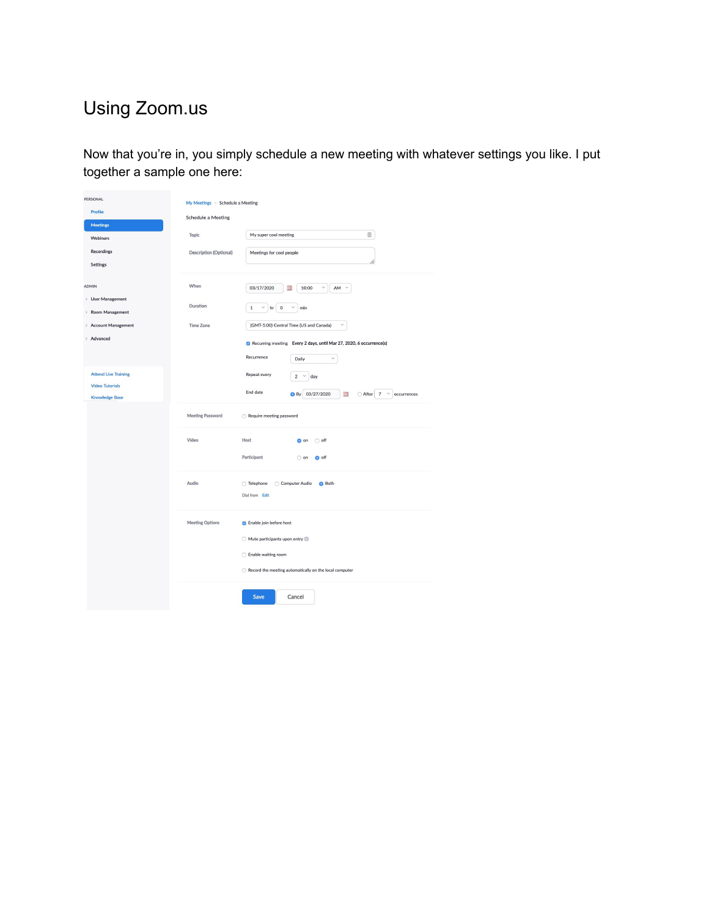## Using Zoom.us

Now that you're in, you simply schedule a new meeting with whatever settings you like. I put together a sample one here:

| PERSONAL<br>Profile<br><b>Meetings</b>                                                                      | My Meetings > Schedule a Meeting<br><b>Schedule a Meeting</b> |                                                                                                                                                                                                                                                                                          |  |
|-------------------------------------------------------------------------------------------------------------|---------------------------------------------------------------|------------------------------------------------------------------------------------------------------------------------------------------------------------------------------------------------------------------------------------------------------------------------------------------|--|
| Webinars                                                                                                    | Topic                                                         | My super cool meeting                                                                                                                                                                                                                                                                    |  |
| Recordings<br>Settings                                                                                      | <b>Description (Optional)</b>                                 | Meetings for cool people                                                                                                                                                                                                                                                                 |  |
| <b>ADMIN</b><br>> User Management<br>Room Management<br>$\mathcal{L}$<br>> Account Management<br>> Advanced | When<br>Duration<br><b>Time Zone</b>                          | 03/17/2020<br>10:00<br>$\checkmark$<br>m<br>AM<br>$\mathbf 1$<br>$\mathsf{O}$<br>$\checkmark$<br>v<br>min<br>hr<br>(GMT-5:00) Central Time (US and Canada)<br>$\checkmark$<br>Recurring meeting Every 2 days, until Mar 27, 2020, 6 occurrence(s)<br>Recurrence<br>$\checkmark$<br>Daily |  |
| <b>Attend Live Training</b><br><b>Video Tutorials</b><br><b>Knowledge Base</b>                              | <b>Meeting Password</b>                                       | Repeat every<br>$\overline{2}$<br>$\checkmark$<br>day<br>End date<br>03/27/2020<br>○ After<br>$\overline{7}$<br>$\check{~}$<br>O By<br><b>THE</b><br>occurrences<br>Require meeting password                                                                                             |  |
|                                                                                                             | Video                                                         | Host<br>o on<br>$\bigcirc$ off<br>Participant<br>O off<br>$\bigcirc$ on                                                                                                                                                                                                                  |  |
| Audio<br>◯ Telephone<br>Dial from Edit                                                                      |                                                               | ○ Computer Audio<br><b>Both</b>                                                                                                                                                                                                                                                          |  |
|                                                                                                             | <b>Meeting Options</b>                                        | <b>B</b> Enable join before host<br>Mute participants upon entry<br>Enable waiting room<br>Record the meeting automatically on the local computer                                                                                                                                        |  |
|                                                                                                             |                                                               | Save<br>Cancel                                                                                                                                                                                                                                                                           |  |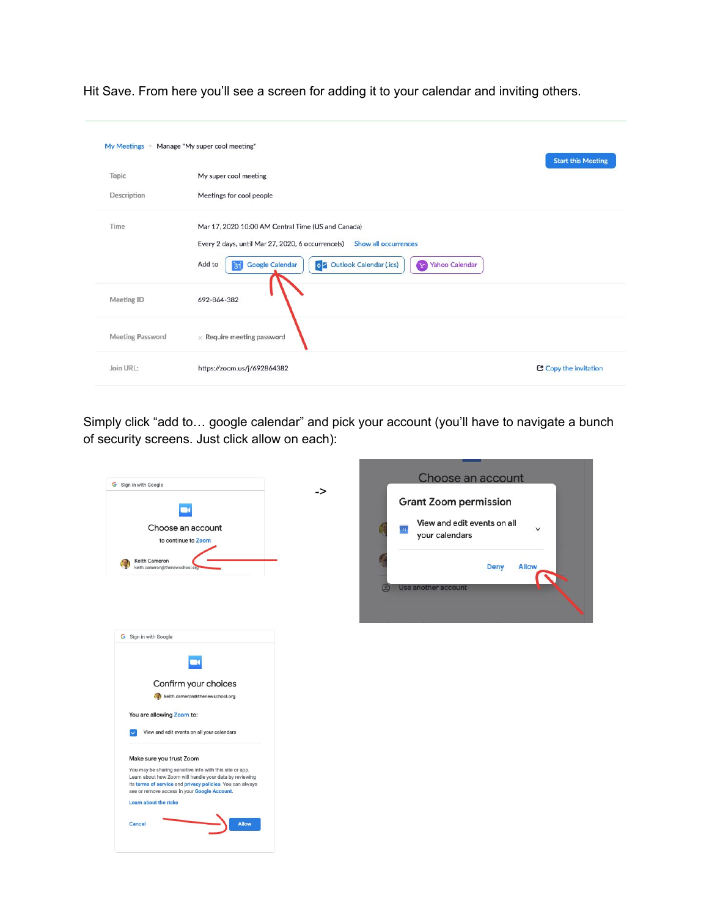| My Meetings > Manage "My super cool meeting" |                                                                                                                                                                                                                                                   | <b>Start this Meeting</b> |
|----------------------------------------------|---------------------------------------------------------------------------------------------------------------------------------------------------------------------------------------------------------------------------------------------------|---------------------------|
| Topic                                        | My super cool meeting                                                                                                                                                                                                                             |                           |
| Description                                  | Meetings for cool people                                                                                                                                                                                                                          |                           |
| Time                                         | Mar 17, 2020 10:00 AM Central Time (US and Canada)<br>Show all occurrences<br>Every 2 days, until Mar 27, 2020, 6 occurrence(s)<br>o Outlook Calendar (.ics)<br>Add to<br><b>Google Calendar</b><br><b>Yahoo Calendar</b><br>$\mathbf{v}_0$<br>31 |                           |
| Meeting ID                                   | 692-864-382                                                                                                                                                                                                                                       |                           |
| <b>Meeting Password</b>                      | $\times$ Require meeting password                                                                                                                                                                                                                 |                           |
| Join URL:                                    | https://zoom.us/j/692864382                                                                                                                                                                                                                       | C Copy the invitation     |

Simply click "add to… google calendar" and pick your account (you'll have to navigate a bunch of security screens. Just click allow on each):

| -><br><b>Grant Zoom permission</b><br>View and edit events on all<br>Choose an account<br>31<br>your calendars<br>to continue to Zoom<br>Keith Cameron<br><b>Deny</b><br><b>Allow</b><br>keith.cameron@thenewschool.org<br>Use another account<br>Θ<br>G Sign in with Google<br>Confirm your choices<br>keith.cameron@thenewschool.org<br>You are allowing Zoom to:<br>View and edit events on all your calendars<br>Make sure you trust Zoom<br>Learn about how Zoom will handle your data by reviewing<br>its terms of service and privacy policies. You can always<br>see or remove access in your Google Account.<br>Learn about the risks<br>Allow<br>Cancel | G Sign in with Google                                    | Choose an account |
|-------------------------------------------------------------------------------------------------------------------------------------------------------------------------------------------------------------------------------------------------------------------------------------------------------------------------------------------------------------------------------------------------------------------------------------------------------------------------------------------------------------------------------------------------------------------------------------------------------------------------------------------------------------------|----------------------------------------------------------|-------------------|
|                                                                                                                                                                                                                                                                                                                                                                                                                                                                                                                                                                                                                                                                   |                                                          |                   |
|                                                                                                                                                                                                                                                                                                                                                                                                                                                                                                                                                                                                                                                                   |                                                          |                   |
|                                                                                                                                                                                                                                                                                                                                                                                                                                                                                                                                                                                                                                                                   |                                                          |                   |
|                                                                                                                                                                                                                                                                                                                                                                                                                                                                                                                                                                                                                                                                   |                                                          |                   |
|                                                                                                                                                                                                                                                                                                                                                                                                                                                                                                                                                                                                                                                                   |                                                          |                   |
|                                                                                                                                                                                                                                                                                                                                                                                                                                                                                                                                                                                                                                                                   |                                                          |                   |
|                                                                                                                                                                                                                                                                                                                                                                                                                                                                                                                                                                                                                                                                   |                                                          |                   |
|                                                                                                                                                                                                                                                                                                                                                                                                                                                                                                                                                                                                                                                                   |                                                          |                   |
|                                                                                                                                                                                                                                                                                                                                                                                                                                                                                                                                                                                                                                                                   |                                                          |                   |
|                                                                                                                                                                                                                                                                                                                                                                                                                                                                                                                                                                                                                                                                   |                                                          |                   |
|                                                                                                                                                                                                                                                                                                                                                                                                                                                                                                                                                                                                                                                                   |                                                          |                   |
|                                                                                                                                                                                                                                                                                                                                                                                                                                                                                                                                                                                                                                                                   |                                                          |                   |
|                                                                                                                                                                                                                                                                                                                                                                                                                                                                                                                                                                                                                                                                   |                                                          |                   |
|                                                                                                                                                                                                                                                                                                                                                                                                                                                                                                                                                                                                                                                                   |                                                          |                   |
|                                                                                                                                                                                                                                                                                                                                                                                                                                                                                                                                                                                                                                                                   |                                                          |                   |
|                                                                                                                                                                                                                                                                                                                                                                                                                                                                                                                                                                                                                                                                   |                                                          |                   |
|                                                                                                                                                                                                                                                                                                                                                                                                                                                                                                                                                                                                                                                                   |                                                          |                   |
|                                                                                                                                                                                                                                                                                                                                                                                                                                                                                                                                                                                                                                                                   |                                                          |                   |
|                                                                                                                                                                                                                                                                                                                                                                                                                                                                                                                                                                                                                                                                   |                                                          |                   |
|                                                                                                                                                                                                                                                                                                                                                                                                                                                                                                                                                                                                                                                                   |                                                          |                   |
|                                                                                                                                                                                                                                                                                                                                                                                                                                                                                                                                                                                                                                                                   | You may be sharing sensitive info with this site or app. |                   |
|                                                                                                                                                                                                                                                                                                                                                                                                                                                                                                                                                                                                                                                                   |                                                          |                   |
|                                                                                                                                                                                                                                                                                                                                                                                                                                                                                                                                                                                                                                                                   |                                                          |                   |
|                                                                                                                                                                                                                                                                                                                                                                                                                                                                                                                                                                                                                                                                   |                                                          |                   |
|                                                                                                                                                                                                                                                                                                                                                                                                                                                                                                                                                                                                                                                                   |                                                          |                   |
|                                                                                                                                                                                                                                                                                                                                                                                                                                                                                                                                                                                                                                                                   |                                                          |                   |